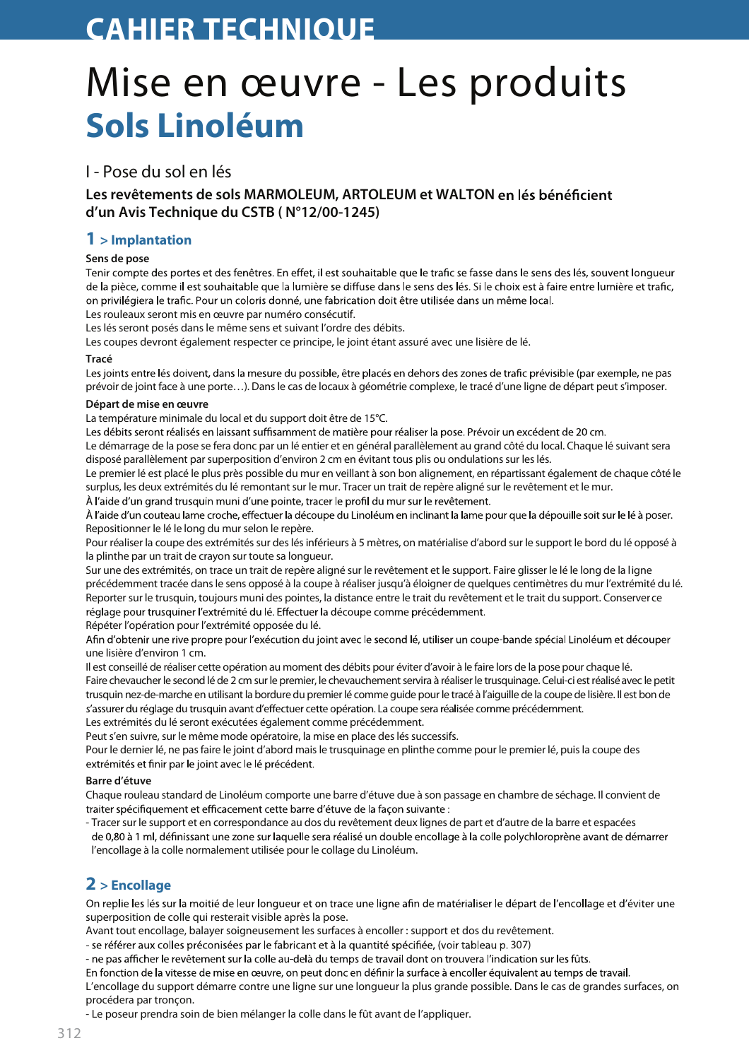# **CAHIER TECHNIOUE**

# Mise en œuvre - Les produits Sols Linoléum

## I - Pose du sol en lés

## Les revêtements de sols MARMOLEUM, ARTOLEUM et WALTON en lés bénéficient d'un Avis Technique du CSTB (N°12/00-1245)

## $1$  > Implantation

### Sens de pose

Tenir compte des portes et des fenêtres. En effet, il est souhaitable que le trafic se fasse dans le sens des lés, souvent lonqueur de la pièce, comme il est souhaitable que la lumière se diffuse dans le sens des lés. Si le choix est à faire entre lumière et trafic, on privilégiera le trafic. Pour un coloris donné, une fabrication doit être utilisée dans un même local.

Les rouleaux seront mis en œuvre par numéro consécutif.

Les lés seront posés dans le même sens et suivant l'ordre des débits.

Les coupes devront également respecter ce principe, le joint étant assuré avec une lisière de lé.

### Tracé

Les joints entre lés doivent, dans la mesure du possible, être placés en dehors des zones de trafic prévisible (par exemple, ne pas prévoir de joint face à une porte...). Dans le cas de locaux à géométrie complexe, le tracé d'une ligne de départ peut s'imposer.

#### Départ de mise en œuvre

La température minimale du local et du support doit être de 15°C.

Les débits seront réalisés en laissant suffisamment de matière pour réaliser la pose. Prévoir un excédent de 20 cm.

Le démarrage de la pose se fera donc par un lé entier et en général parallèlement au grand côté du local. Chaque lé suivant sera disposé parallèlement par superposition d'environ 2 cm en évitant tous plis ou ondulations sur les lés.

Le premier lé est placé le plus près possible du mur en veillant à son bon alignement, en répartissant également de chaque côté le surplus, les deux extrémités du lé remontant sur le mur. Tracer un trait de repère aligné sur le revêtement et le mur. À l'aide d'un grand trusquin muni d'une pointe, tracer le profil du mur sur le revêtement.

À l'aide d'un couteau lame croche, effectuer la découpe du Linoléum en inclinant la lame pour que la dépouille soit sur le lé à poser. Repositionner le lé le long du mur selon le repère.

Pour réaliser la coupe des extrémités sur des lés inférieurs à 5 mètres, on matérialise d'abord sur le support le bord du lé opposé à la plinthe par un trait de crayon sur toute sa longueur.

Sur une des extrémités, on trace un trait de repère aligné sur le revêtement et le support. Faire glisser le lé le long de la ligne précédemment tracée dans le sens opposé à la coupe à réaliser jusqu'à éloigner de quelques centimètres du mur l'extrémité du lé. Reporter sur le trusquin, toujours muni des pointes, la distance entre le trait du revêtement et le trait du support. Conserverce réglage pour trusquiner l'extrémité du lé. Effectuer la découpe comme précédemment.

Répéter l'opération pour l'extrémité opposée du lé.

Afin d'obtenir une rive propre pour l'exécution du joint avec le second lé, utiliser un coupe-bande spécial Linoléum et découper une lisière d'environ 1 cm.

Il est conseillé de réaliser cette opération au moment des débits pour éviter d'avoir à le faire lors de la pose pour chaque lé. Faire chevaucher le second lé de 2 cm sur le premier, le chevauchement servira à réaliser le trusquinage. Celui-ci est réalisé avec le petit trusquin nez-de-marche en utilisant la bordure du premier lé comme guide pour le tracé à l'aiguille de la coupe de lisière. Il est bon de s'assurer du réglage du trusquin avant d'effectuer cette opération. La coupe sera réalisée comme précédemment. Les extrémités du lé seront exécutées également comme précédemment.

Peut s'en suivre, sur le même mode opératoire, la mise en place des lés successifs.

Pour le dernier lé, ne pas faire le joint d'abord mais le trusquinage en plinthe comme pour le premier lé, puis la coupe des extrémités et finir par le joint avec le lé précédent.

### Barre d'étuve

Chaque rouleau standard de Linoléum comporte une barre d'étuve due à son passage en chambre de séchage. Il convient de traiter spécifiquement et efficacement cette barre d'étuve de la facon suivante :

- Tracer sur le support et en correspondance au dos du revêtement deux lignes de part et d'autre de la barre et espacées de 0,80 à 1 ml, définissant une zone sur laquelle sera réalisé un double encollage à la colle polychloroprène avant de démarrer l'encollage à la colle normalement utilisée pour le collage du Linoléum.

# $2$  > Encollage

On replie les lés sur la moitié de leur longueur et on trace une ligne afin de matérialiser le départ de l'encollage et d'éviter une superposition de colle qui resterait visible après la pose.

Avant tout encollage, balayer soigneusement les surfaces à encoller : support et dos du revêtement.

- se référer aux colles préconisées par le fabricant et à la quantité spécifiée, (voir tableau p. 307)

- ne pas afficher le revêtement sur la colle au-delà du temps de travail dont on trouvera l'indication sur les fûts.

En fonction de la vitesse de mise en œuvre, on peut donc en définir la surface à encoller équivalent au temps de travail. L'encollage du support démarre contre une ligne sur une longueur la plus grande possible. Dans le cas de grandes surfaces, on procédera par tronçon.

- Le poseur prendra soin de bien mélanger la colle dans le fût avant de l'appliquer.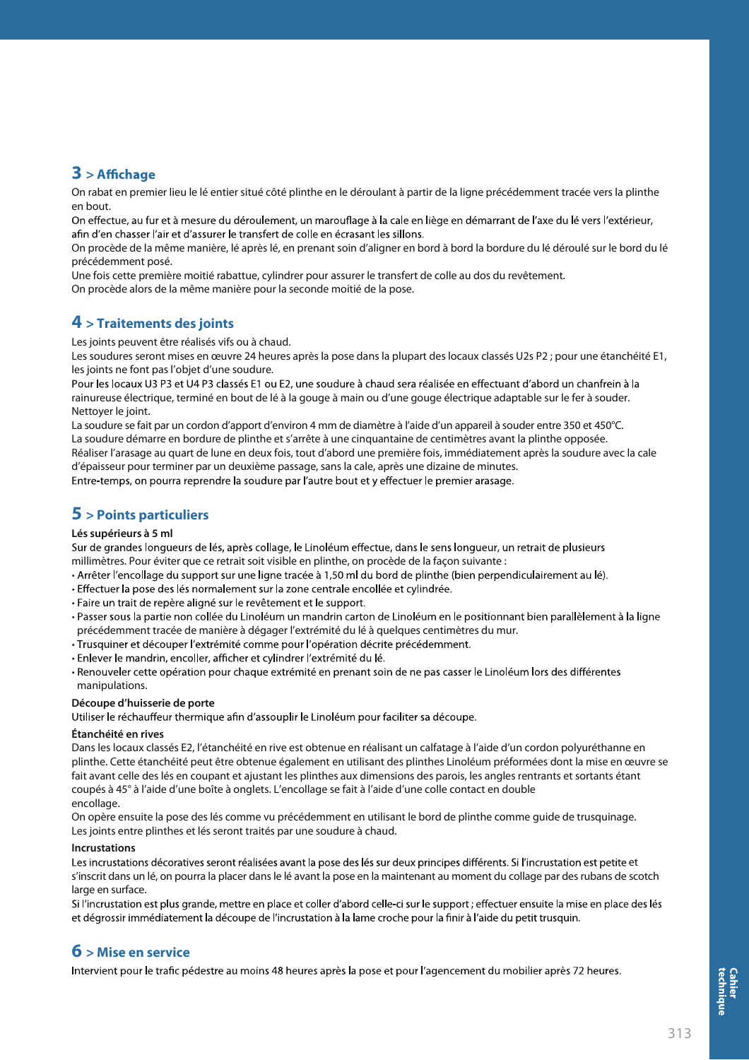## $3$  > Affichage

On rabat en premier lieu le lé entier situé côté plinthe en le déroulant à partir de la ligne précédemment tracée vers la plinthe en hout

On effectue, au fur et à mesure du déroulement, un marouflage à la cale en liège en démarrant de l'axe du lévers l'extérieur, afin d'en chasser l'air et d'assurer le transfert de colle en écrasant les sillons.

On procède de la même manière, lé après lé, en prenant soin d'aligner en bord à bord la bordure du lé déroulé sur le bord du lé précédemment posé.

Une fois cette première moitié rabattue, cylindrer pour assurer le transfert de colle au dos du revêtement. On procède alors de la même manière pour la seconde moitié de la pose.

## $4$  > Traitements des joints

Les joints peuvent être réalisés vifs ou à chaud.

Les soudures seront mises en œuvre 24 heures après la pose dans la plupart des locaux classés U2s P2 ; pour une étanchéité E1, les joints ne font pas l'objet d'une soudure.

Pour les locaux U3 P3 et U4 P3 classés E1 ou E2, une soudure à chaud sera réalisée en effectuant d'abord un chanfrein à la rainureuse électrique, terminé en bout de lé à la gouge à main ou d'une gouge électrique adaptable sur le fer à souder. Nettoyer le joint.

La soudure se fait par un cordon d'apport d'environ 4 mm de diamètre à l'aide d'un appareil à souder entre 350 et 450°C. La soudure démarre en bordure de plinthe et s'arrête à une cinquantaine de centimètres avant la plinthe opposée. Réaliser l'arasage au quart de lune en deux fois, tout d'abord une première fois, immédiatement après la soudure avec la cale d'épaisseur pour terminer par un deuxième passage, sans la cale, après une dizaine de minutes.

Entre-temps, on pourra reprendre la soudure par l'autre bout et y effectuer le premier arasage.

## $5$  > Points particuliers

#### Lés supérieurs à 5 ml

Sur de grandes longueurs de lés, après collage, le Linoléum effectue, dans le sens longueur, un retrait de plusieurs millimètres. Pour éviter que ce retrait soit visible en plinthe, on procède de la facon suivante :

- · Arrêter l'encollage du support sur une ligne tracée à 1,50 ml du bord de plinthe (bien perpendiculairement au lé).
- · Effectuer la pose des lés normalement sur la zone centrale encollée et cylindrée.
- · Faire un trait de repère aligné sur le revêtement et le support.
- · Passer sous la partie non collée du Linoléum un mandrin carton de Linoléum en le positionnant bien parallèlement à la ligne précédemment tracée de manière à dégager l'extrémité du lé à quelques centimètres du mur.
- Trusquiner et découper l'extrémité comme pour l'opération décrite précédemment.
- · Enlever le mandrin, encoller, afficher et cylindrer l'extrémité du lé.

· Renouveler cette opération pour chaque extrémité en prenant soin de ne pas casser le Linoléum lors des différentes manipulations.

#### Découpe d'huisserie de porte

Utiliser le réchauffeur thermique afin d'assouplir le Linoléum pour faciliter sa découpe.

#### Étanchéité en rives

Dans les locaux classés E2, l'étanchéité en rive est obtenue en réalisant un calfatage à l'aide d'un cordon polyuréthanne en plinthe. Cette étanchéité peut être obtenue également en utilisant des plinthes Linoléum préformées dont la mise en œuvre se fait avant celle des lés en coupant et ajustant les plinthes aux dimensions des parois, les angles rentrants et sortants étant coupés à 45° à l'aide d'une boîte à onglets. L'encollage se fait à l'aide d'une colle contact en double encollage.

On opère ensuite la pose des lés comme vu précédemment en utilisant le bord de plinthe comme guide de trusquinage. Les joints entre plinthes et lés seront traités par une soudure à chaud.

#### Incrustations

Les incrustations décoratives seront réalisées avant la pose des lés sur deux principes différents. Si l'incrustation est petite et s'inscrit dans un lé, on pourra la placer dans le lé avant la pose en la maintenant au moment du collage par des rubans de scotch large en surface.

Si l'incrustation est plus grande, mettre en place et coller d'abord celle-ci sur le support ; effectuer ensuite la mise en place des lés et dégrossir immédiatement la découpe de l'incrustation à la lame croche pour la finir à l'aide du petit trusquin.

## $6$  > Mise en service

Intervient pour le trafic pédestre au moins 48 heures après la pose et pour l'agencement du mobilier après 72 heures.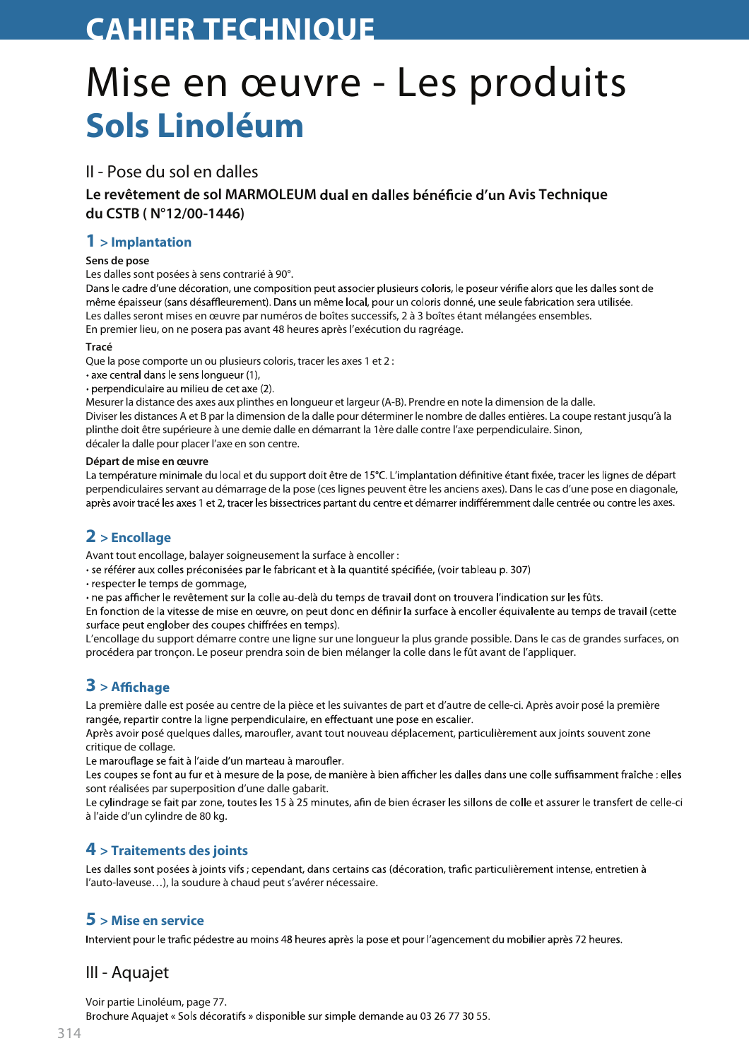# **CAHIER TECHNIOUE**

# Mise en œuvre - Les produits Sols Linoléum

## II - Pose du sol en dalles

Le revêtement de sol MARMOLEUM dual en dalles bénéficie d'un Avis Technique du CSTB (N°12/00-1446)

### $1$  > Implantation

#### Sens de pose

Les dalles sont posées à sens contrarié à 90°.

Dans le cadre d'une décoration, une composition peut associer plusieurs coloris, le poseur vérifie alors que les dalles sont de même épaisseur (sans désaffleurement). Dans un même local, pour un coloris donné, une seule fabrication sera utilisée. Les dalles seront mises en œuvre par numéros de boîtes successifs, 2 à 3 boîtes étant mélangées ensembles. En premier lieu, on ne posera pas avant 48 heures après l'exécution du ragréage.

#### Tracé

Oue la pose comporte un ou plusieurs coloris, tracer les axes 1 et 2 :

• axe central dans le sens longueur (1),

· perpendiculaire au milieu de cet axe (2).

Mesurer la distance des axes aux plinthes en longueur et largeur (A-B). Prendre en note la dimension de la dalle. Diviser les distances A et B par la dimension de la dalle pour déterminer le nombre de dalles entières. La coupe restant jusqu'à la plinthe doit être supérieure à une demie dalle en démarrant la 1ère dalle contre l'axe perpendiculaire. Sinon, décaler la dalle pour placer l'axe en son centre.

#### Départ de mise en œuvre

La température minimale du local et du support doit être de 15°C. L'implantation définitive étant fixée, tracer les lignes de départ perpendiculaires servant au démarrage de la pose (ces lignes peuvent être les anciens axes). Dans le cas d'une pose en diagonale, après avoir tracé les axes 1 et 2, tracer les bissectrices partant du centre et démarrer indifféremment dalle centrée ou contre les axes.

# $2$  > Encollage

Avant tout encollage, balayer soigneusement la surface à encoller :

· se référer aux colles préconisées par le fabricant et à la quantité spécifiée, (voir tableau p. 307)

· respecter le temps de gommage,

• ne pas afficher le revêtement sur la colle au-delà du temps de travail dont on trouvera l'indication sur les fûts.

En fonction de la vitesse de mise en œuvre, on peut donc en définir la surface à encoller équivalente au temps de travail (cette surface peut englober des coupes chiffrées en temps).

L'encollage du support démarre contre une ligne sur une longueur la plus grande possible. Dans le cas de grandes surfaces, on procédera par tronçon. Le poseur prendra soin de bien mélanger la colle dans le fût avant de l'appliquer.

# $3$  > Affichage

La première dalle est posée au centre de la pièce et les suivantes de part et d'autre de celle-ci. Après avoir posé la première rangée, repartir contre la ligne perpendiculaire, en effectuant une pose en escalier.

Après avoir posé quelques dalles, maroufler, avant tout nouveau déplacement, particulièrement aux joints souvent zone critique de collage.

Le marouflage se fait à l'aide d'un marteau à maroufler.

Les coupes se font au fur et à mesure de la pose, de manière à bien afficher les dalles dans une colle suffisamment fraîche : elles sont réalisées par superposition d'une dalle gabarit.

Le cylindrage se fait par zone, toutes les 15 à 25 minutes, afin de bien écraser les sillons de colle et assurer le transfert de celle-ci à l'aide d'un cylindre de 80 kg.

## $4$  > Traitements des joints

Les dalles sont posées à joints vifs ; cependant, dans certains cas (décoration, trafic particulièrement intense, entretien à l'auto-laveuse...), la soudure à chaud peut s'avérer nécessaire.

## $5 >$  Mise en service

Intervient pour le trafic pédestre au moins 48 heures après la pose et pour l'agencement du mobilier après 72 heures.

# III - Aquajet

Voir partie Linoléum, page 77.

Brochure Aquajet « Sols décoratifs » disponible sur simple demande au 03 26 77 30 55.